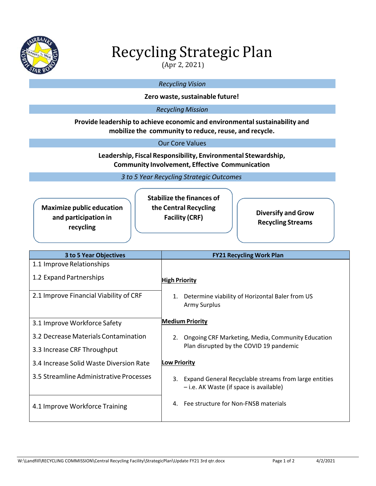

# Recycling Strategic Plan

(Apr 2, 2021)

## *Recycling Vision*

#### **Zero** waste, sustainable future!

#### *Recycling Mission*

#### **Provide leadership to achieve economic and environmentalsustainability and mobilize the community to reduce, reuse, and recycle.**

#### Our Core Values

**Leadership, Fiscal Responsibility, Environmental Stewardship, Community Involvement, Effective Communication**

*3 to 5 Year Recycling Strategic Outcomes*

| <b>Maximize public education</b> |
|----------------------------------|
| and participation in             |
| recycling                        |

**Stabilize the finances of the Central Recycling**

**Facility (CRF) Diversify and Grow Recycling Streams**

| 3 to 5 Year Objectives                  | <b>FY21 Recycling Work Plan</b>                                                                        |
|-----------------------------------------|--------------------------------------------------------------------------------------------------------|
| 1.1 Improve Relationships               |                                                                                                        |
| 1.2 Expand Partnerships                 | <b>High Priority</b>                                                                                   |
| 2.1 Improve Financial Viability of CRF  | Determine viability of Horizontal Baler from US<br>1.<br><b>Army Surplus</b>                           |
| 3.1 Improve Workforce Safety            | <b>Medium Priority</b>                                                                                 |
| 3.2 Decrease Materials Contamination    | Ongoing CRF Marketing, Media, Community Education<br>2.                                                |
| 3.3 Increase CRF Throughput             | Plan disrupted by the COVID 19 pandemic                                                                |
| 3.4 Increase Solid Waste Diversion Rate | <b>Low Priority</b>                                                                                    |
| 3.5 Streamline Administrative Processes | 3.<br>Expand General Recyclable streams from large entities<br>- i.e. AK Waste (if space is available) |
| 4.1 Improve Workforce Training          | Fee structure for Non-FNSB materials<br>4.                                                             |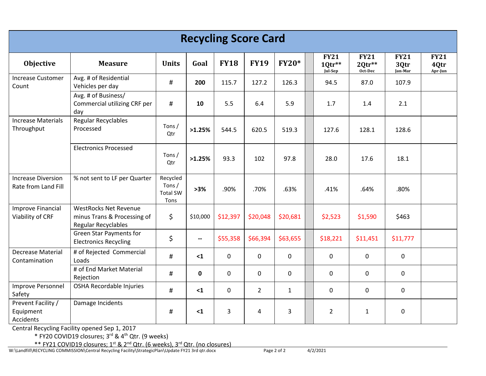| <b>Recycling Score Card</b>                      |                                                                                    |                                                 |                          |             |                |              |  |                                  |                                    |                                |                                |
|--------------------------------------------------|------------------------------------------------------------------------------------|-------------------------------------------------|--------------------------|-------------|----------------|--------------|--|----------------------------------|------------------------------------|--------------------------------|--------------------------------|
| <b>Objective</b>                                 | <b>Measure</b>                                                                     | <b>Units</b>                                    | Goal                     | <b>FY18</b> | <b>FY19</b>    | <b>FY20*</b> |  | <b>FY21</b><br>10tr**<br>Jul-Sep | <b>FY21</b><br>$20tr**$<br>Oct-Dec | <b>FY21</b><br>3Qtr<br>Jan-Mar | <b>FY21</b><br>4Qtr<br>Apr-Jun |
| <b>Increase Customer</b><br>Count                | Avg. # of Residential<br>Vehicles per day                                          | #                                               | 200                      | 115.7       | 127.2          | 126.3        |  | 94.5                             | 87.0                               | 107.9                          |                                |
|                                                  | Avg. # of Business/<br>Commercial utilizing CRF per<br>day                         | $\#$                                            | 10                       | 5.5         | 6.4            | 5.9          |  | 1.7                              | 1.4                                | 2.1                            |                                |
| <b>Increase Materials</b><br>Throughput          | <b>Regular Recyclables</b><br>Processed                                            | Tons/<br>Qtr                                    | >1.25%                   | 544.5       | 620.5          | 519.3        |  | 127.6                            | 128.1                              | 128.6                          |                                |
|                                                  | <b>Electronics Processed</b>                                                       | Tons/<br>Qtr                                    | >1.25%                   | 93.3        | 102            | 97.8         |  | 28.0                             | 17.6                               | 18.1                           |                                |
| <b>Increase Diversion</b><br>Rate from Land Fill | % not sent to LF per Quarter                                                       | Recycled<br>Tons $/$<br><b>Total SW</b><br>Tons | >3%                      | .90%        | .70%           | .63%         |  | .41%                             | .64%                               | .80%                           |                                |
| <b>Improve Financial</b><br>Viability of CRF     | <b>WestRocks Net Revenue</b><br>minus Trans & Processing of<br>Regular Recyclables | \$                                              | \$10,000                 | \$12,397    | \$20,048       | \$20,681     |  | \$2,523                          | \$1,590                            | \$463                          |                                |
|                                                  | <b>Green Star Payments for</b><br><b>Electronics Recycling</b>                     | \$                                              | $\overline{\phantom{a}}$ | \$55,358    | \$66,394       | \$63,655     |  | \$18,221                         | \$11,451                           | \$11,777                       |                                |
| <b>Decrease Material</b><br>Contamination        | # of Rejected Commercial<br>Loads                                                  | #                                               | $\leq 1$                 | 0           | $\mathbf 0$    | $\mathbf 0$  |  | $\mathbf 0$                      | $\mathbf 0$                        | $\mathbf 0$                    |                                |
|                                                  | # of End Market Material<br>Rejection                                              | #                                               | $\mathbf 0$              | 0           | 0              | $\mathbf 0$  |  | $\mathbf 0$                      | $\mathbf 0$                        | $\mathbf 0$                    |                                |
| Improve Personnel<br>Safety                      | OSHA Recordable Injuries                                                           | #                                               | $\leq 1$                 | 0           | $\overline{2}$ | $\mathbf{1}$ |  | 0                                | $\mathbf 0$                        | $\mathbf 0$                    |                                |
| Prevent Facility /<br>Equipment<br>Accidents     | Damage Incidents                                                                   | #                                               | $\leq 1$                 | 3           | 4              | 3            |  | $\overline{2}$                   | $\mathbf{1}$                       | $\mathbf 0$                    |                                |

Central Recycling Facility opened Sep 1, 2017

\* FY20 COVID19 closures; 3<sup>rd</sup> & 4<sup>th</sup> Qtr. (9 weeks)

<u>\*\* FY21 COVID19 closures; 1<sup>st</sup> & 2<sup>nd</sup> Qtr. (6 weeks), 3<sup>rd</sup> Qtr. (no closures)</u>

W:\Landfill\RECYCLING COMMISSION\Central Recycling Facility\StrategicPlan\Update FY21 3rd qtr.docx Page 2 of 2 4/2/2021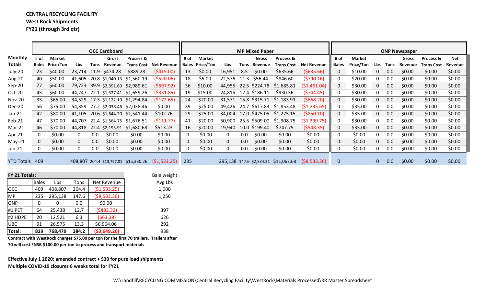# **CENTRAL RECYCLING FACILITY West Rock Shipments**

**FY21 (through 3rd qtr)**

|                |                |                        |              |         | <b>OCC Cardboard</b> |                                       |                               | <b>MP Mixed Paper</b> |                 |              |      |                      |                                      | <b>ONP Newspaper</b> |              |                  |     |      |         |                   |         |
|----------------|----------------|------------------------|--------------|---------|----------------------|---------------------------------------|-------------------------------|-----------------------|-----------------|--------------|------|----------------------|--------------------------------------|----------------------|--------------|------------------|-----|------|---------|-------------------|---------|
| Monthly        | # of           | <b>Market</b>          |              |         | <b>Gross</b>         | Process &                             |                               | # of                  | <b>Market</b>   |              |      | Gross                | Process &                            |                      | # of         | <b>Market</b>    |     |      | Gross   | Process &         | Net     |
| Totals         |                | <b>Bales Price/Ton</b> | Lbs          | Tons    | Revenue              |                                       | <b>Trans Cost</b> Net Revenue |                       | Bales Price/Ton | Lbs          |      | Tons Revenue         | <b>Trans Cost</b>                    | <b>Net Revenue</b>   | <b>Bales</b> | <b>Price/Ton</b> | Lbs | Tons | Revenue | <b>Trans Cost</b> | Revenue |
| July-20        | 23             | \$40.00                | 23,714       | 11.9    | \$474.28             | \$889.28                              | (5415.00)                     | 13                    | \$0.00          | 16,951       | 8.5  | \$0.00               | \$635.66                             | (5635.66)            | $\Omega$     | \$10.00          |     | 0.0  | \$0.00  | \$0.00            | \$0.00  |
| Aug-20         | 40             | \$50.00                | 41,605       |         | 20.8 \$1,040.13      | \$1,560.19                            | (\$520.06)                    | 18                    | \$5.00          | 22,576       | 11.3 | \$56.44              | \$846.60                             | (5790.16)            | 0            | \$20.00          |     | 0.0  | \$0.00  | \$0.00            | \$0.00  |
| Sep-20         | 77             | \$60.00                | 79,723       |         | 39.9 \$2,391.69      | \$2,989.61                            | (5597.92)                     | 36                    | \$10.00         | 44,955       |      | 22.5 \$224.78        | \$1,685.81                           | (\$1,461.04)         | 0            | \$30.00          |     | 0.0  | \$0.00  | \$0.00            | \$0.00  |
| Oct-20         | 45             | \$60.00                | 44,247       |         |                      | 22.1 \$1,327.41 \$1,659.26            | ( \$331.85)                   | 19                    | \$15.00         |              |      | 24,815 12.4 \$186.11 | \$930.56                             | (5744.45)            | 0            | \$30.00          |     | 0.0  | \$0.00  | \$0.00            | \$0.00  |
| Nov-20         | 33             | \$65.00                |              |         |                      | 34,529 17.3 \$1,122.19 \$1,294.84     | (5172.65)                     | 24                    | \$20.00         | 31,571       |      | 15.8 \$315.71        | \$1,183.91                           | ( \$868.20)          | 0            | \$30.00          | 0   | 0.0  | \$0.00  | \$0.00            | \$0.00  |
| <b>Dec-20</b>  | 56             | \$75.00                |              |         |                      | 54,359 27.2 \$2,038.46 \$2,038.46     | \$0.00                        | 39                    | \$25.00         | 49,426       |      | 24.7 \$617.83        | \$1,853.48                           | ( \$1, 235.65)       | 0            | \$35.00          |     | 0.0  | \$0.00  | \$0.00            | \$0.00  |
| Jan-21         | 42             | \$80.00                |              |         |                      | 41,105 20.6 \$1,644.20 \$1,541.44     | \$102.76                      | 29                    | \$25.00         | 34,004       |      |                      | 17.0 \$425.05 \$1,275.15             | ( \$850.10)          | $\Omega$     | \$35.00          |     | 0.0  | \$0.00  | \$0.00            | \$0.00  |
| Feb-21         | 47             | \$70.00                | 44,707       |         |                      | 22.4 \$1,564.75 \$1,676.51            | (\$111.77)                    | 41                    | \$20.00         | 50,900       |      | 25.5 \$509.00        | \$1,908.75                           | (\$1,399.75)         | 0            | \$30.00          |     | 0.0  | \$0.00  | \$0.00            | \$0.00  |
| Mar-21         | 46             | \$70.00                | 44,818       |         | 22.4 \$2,193.91      | \$1,680.68                            | \$513.23                      | 16                    | \$20.00         | 19,940       |      | 10.0 \$199.40        | \$747.75                             | (5548.35)            | $\Omega$     | \$35.00          |     | 0.0  | \$0.00  | \$0.00            | \$0.00  |
| Apr-21         |                | \$0.00                 | 0            | $0.0\,$ | \$0.00               | \$0.00                                | \$0.00                        | $\Omega$              | \$0.00          | 0            | 0.0  | \$0.00               | \$0.00                               | \$0.00               | $\Omega$     | \$0.00           |     | 0.0  | \$0.00  | \$0.00            | \$0.00  |
| May-21         | $\overline{0}$ | \$0.00                 | $\mathbf{0}$ | 0.0     | \$0.00               | \$0.00                                | \$0.00                        | 0                     | \$0.00          | $\mathbf{0}$ | 0.0  | \$0.00               | \$0.00                               | \$0.00               | 0            | \$0.00           | 0   | 0.0  | \$0.00  | \$0.00            | \$0.00  |
| Jun-21         | $\mathbf{0}$   | \$0.00                 | 0            | 0.0     | \$0.00               | \$0.00                                | \$0.00                        | 0                     | \$0.00          | 0            | 0.0  | \$0.00               | \$0.00                               | \$0.00               |              | \$0.00           |     | 0.0  | \$0.00  | \$0.00            | \$0.00  |
|                |                |                        |              |         |                      |                                       |                               |                       |                 |              |      |                      |                                      |                      |              |                  |     |      |         |                   |         |
| YTD Totals 409 |                |                        |              |         |                      | 408,807 204.4 \$13,797.01 \$15,330.26 | (51, 533.25)                  | 235                   |                 |              |      |                      | 295,138 147.6 \$2,534.31 \$11,067.68 | ( \$8,533.36)        | $\mathbf 0$  |                  | 0   | 0.0  | \$0.00  | \$0.00            | \$0.00  |
|                |                |                        |              |         |                      |                                       |                               |                       |                 |              |      |                      |                                      |                      |              |                  |     |      |         |                   |         |
| FY 21 Totals:  |                |                        |              |         |                      |                                       | Bale weight                   |                       |                 |              |      |                      |                                      |                      |              |                  |     |      |         |                   |         |

| <b>FY 21 Totals:</b> |              |         |       |               | Bale weig |
|----------------------|--------------|---------|-------|---------------|-----------|
|                      | <b>Bales</b> | Lbs     | Tons  | Net Revenue   | Avg Lbs   |
| <b>OCC</b>           | 409          | 408,807 | 204.4 | (51,533.25)   | 1,000     |
| <b>MP</b>            | 235          | 295,138 | 147.6 | ( \$8,533.36) | 1,256     |
| <b>ONP</b>           |              |         | 0.0   | \$0.00        |           |
| #1 PET               | 64           | 25,438  | 12.7  | (5483.32)     | 397       |
| #2 HDPE              | 20           | 12,521  | 6.3   | (563.38)      | 626       |
| <b>UBC</b>           | 91           | 26,575  | 13.3  | \$6,964.06    | 292       |
| Total:               | 819          | 768,479 | 384.2 | ( \$3,649.26) | 938       |

**Contract with WestRock charges \$75.00 per ton for the first 70 trailers. Trailers after 70 will cost FNSB \$100.00 per ton to process and transport materials**

**Effective July <sup>1</sup> 2020; amended contract <sup>+</sup> \$30 for pure load shipments Multiple COVID‐19 closures 6 weeks total for FY21**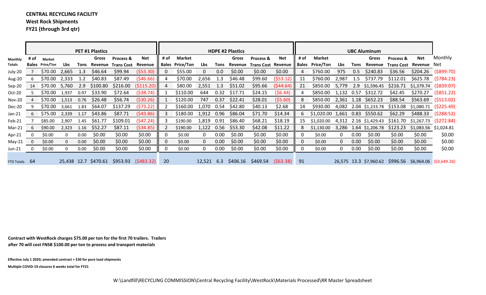## **CENTRAL RECYCLING FACILITY West Rock Shipments**

**FY21 (through 3rd qtr)**

|               |             |                        |       |      | <b>PET #1 Plastics</b> |                                 |                     | <b>HDPE #2 Plastics</b> |                        |        |      |         |                              |          | <b>UBC Aluminum</b> |                                |            |                   |                       |                                |                                                         |                       |
|---------------|-------------|------------------------|-------|------|------------------------|---------------------------------|---------------------|-------------------------|------------------------|--------|------|---------|------------------------------|----------|---------------------|--------------------------------|------------|-------------------|-----------------------|--------------------------------|---------------------------------------------------------|-----------------------|
| Monthly       | # of        | <b>Market</b>          |       |      | Gross                  | <b>Process &amp;</b>            | Net                 | # of                    | Market                 |        |      | Gross   | Process &                    | Net      | # of                | <b>Market</b>                  |            |                   | Gross                 | Process &                      | Net                                                     | Monthly               |
| Totals        |             | <b>Bales</b> Price/Ton | Lbs.  |      |                        | Tons Revenue Trans Cost Revenue |                     |                         | <b>Bales Price/Ton</b> | Lbs    | Tons | Revenue | <b>Trans Cost Revenue</b>    |          | <b>Bales</b>        | Price/Ton                      | Lbs        | Tons              | Revenue               |                                | <b>Trans Cost Revenue Net</b>                           |                       |
| July-20       |             | \$70.00                | 2,665 | 1.3  | \$46.64                | \$99.94                         | (553.30)            | $\Omega$                | \$55.00                | 0      | 0.0  | \$0.00  | \$0.00                       | \$0.00   | 4                   | \$760.00                       | 975        | 0.5               | \$240.83              | \$36.56                        |                                                         | $$204.26$ (\$899.70)  |
| Aug-20        | 6           | \$70.00                | 2,333 | 1.2  | \$40.83                | \$87.49                         | (546.66)            |                         | \$70.00                | 2,656  | 1.3  | \$46.48 | \$99.60                      | (553.12) | 11                  | \$760.00                       | 2,987      | 1.5               | \$737.79              | \$112.01                       | \$625.78                                                | (\$784.23)            |
| $Sep-20$      | 14          | \$70.00                | 5,760 | 2.9  | \$100.80               | \$216.00                        | (5115.20)           | 4                       | \$80.00                | 2,551  | 1.3  | \$51.02 | \$95.66                      | (544.64) | 21                  | \$850.00                       | 5,779      |                   | 2.9 \$1,596.45        | \$216.71                       | $$1,379.74$ (\$839.07)                                  |                       |
| Oct-20        |             | \$70.00                | 1,937 | 0.97 | \$33.90                | \$72.64                         | ( \$38.74)          |                         | \$110.00               | 644    | 0.32 | \$17.71 | \$24.15                      | (56.44)  |                     | \$850.00                       | 1,132 0.57 |                   | \$312.72              | \$42.45                        | \$270.27                                                | $($ \$851.22)         |
| <b>Nov-20</b> | 4           | \$70.00                | 1,513 | 0.76 | \$26.48                | \$56.74                         | ( \$30.26)          |                         | \$120.00               | 747    | 0.37 | \$22.41 | \$28.01                      | (55.60)  | 8                   | \$850.00                       | 2,361 1.18 |                   | \$652.23              | \$88.54                        | \$563.69                                                | $($ \$513.02)         |
| Dec-20        | 9           | \$70.00                | 3,661 | 1.83 | \$64.07                | \$137.29                        | (573.22)            |                         | \$160.00               | 1,070  | 0.54 | \$42.80 | \$40.13                      | \$2.68   | 14                  | \$930.00                       |            |                   |                       | 4,082 2.04 \$1,233.78 \$153.08 | \$1,080.71 (\$225.49)                                   |                       |
| $Jan-21$      | 6           | \$75.00                | 2,339 | 1.17 | \$43.86                | \$87.71                         | (543.86)            |                         | \$180.00               | 1,912  | 0.96 | \$86.04 | \$71.70                      | \$14.34  | 6                   | \$1,020.00 1,661 0.83 \$550.62 |            |                   |                       | \$62.29                        |                                                         | $$488.33$ $($288.52)$ |
| Feb-21        |             | \$85.00                | 2,907 | 1.45 | \$61.77                | \$109.01                        | (547.24)            |                         | \$190.00               | 1,819  | 0.91 | \$86.40 | \$68.21                      | \$18.19  | 15                  | \$1,020.00                     |            |                   | 4,312 2.16 \$1,429.43 | \$161.70                       | $$1,267.73$ (\$272.84)                                  |                       |
| Mar-21        | 6           | \$90.00                | 2,323 | 1.16 | \$52.27                | \$87.11                         | ( \$34.85)          |                         | \$190.00               | 1,122  | 0.56 | \$53.30 | \$42.08                      | \$11.22  | 8                   | \$1,130.00                     |            |                   | 3,286 1.64 \$1,206.78 | \$123.23                       | \$1,083.56 \$1,024.81                                   |                       |
| Apr-21        | $\mathbf 0$ | \$0.00                 |       | 0.00 | \$0.00                 | \$0.00                          | \$0.00              |                         | \$0.00                 |        | 0.00 | \$0.00  | \$0.00                       | \$0.00   | 0                   | \$0.00                         |            | 0.00              | \$0.00                | \$0.00                         | \$0.00                                                  | \$0.00                |
| May-21        | $\mathbf 0$ | \$0.00                 |       | 0.00 | \$0.00                 | \$0.00                          | \$0.00              |                         | \$0.00                 | 0.     | 0.00 | \$0.00  | \$0.00                       | \$0.00   | $\Omega$            | \$0.00                         | $\Omega$   | 0.00 <sub>1</sub> | \$0.00                | \$0.00                         | \$0.00                                                  | \$0.00                |
| $Jun-21$      | 0           | \$0.00                 |       | 0.00 | \$0.00                 | \$0.00                          | \$0.00              |                         | \$0.00                 |        | 0.00 | \$0.00  | \$0.00                       | \$0.00   |                     | \$0.00                         |            | 0.00              | \$0.00                | \$0.00                         | \$0.00                                                  | \$0.00                |
| YTD Totals 64 |             |                        |       |      | 25,438 12.7 \$470.61   |                                 | \$953.93 (\$483.32) | 20                      |                        | 12,521 | 6.3  |         | $$406.16$ $$469.54$ $$63.38$ |          | 91                  |                                |            |                   |                       |                                | 26,575 13.3 \$7,960.62 \$996.56 \$6,964.06 (\$3,649.26) |                       |

**Contract with WestRock charges \$75.00 per ton for the first 70 trailers. Trailers after 70 will cost FNSB \$100.00 per ton to process and transport materials**

**Effective July <sup>1</sup> 2020; amended contract <sup>+</sup> \$30 for pure load shipments Multiple COVID‐19 closures 6 weeks total for FY21**